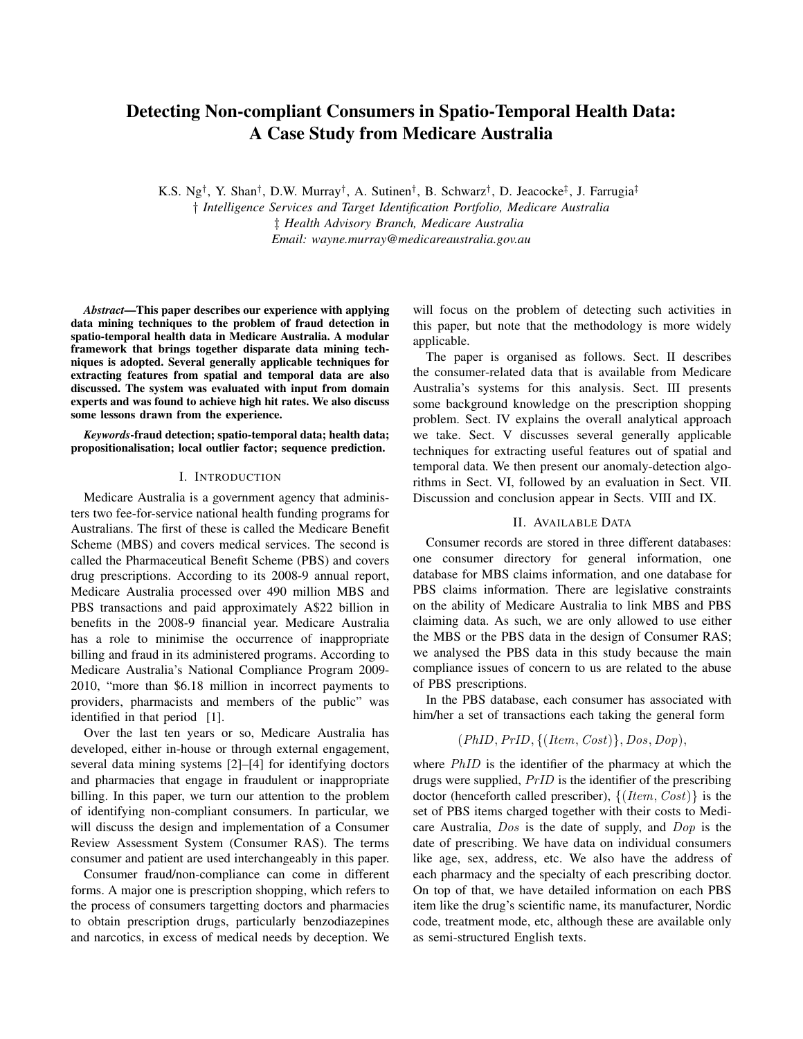# Detecting Non-compliant Consumers in Spatio-Temporal Health Data: A Case Study from Medicare Australia

K.S. Ng† , Y. Shan† , D.W. Murray† , A. Sutinen† , B. Schwarz† , D. Jeacocke‡ , J. Farrugia‡ † *Intelligence Services and Target Identification Portfolio, Medicare Australia* ‡ *Health Advisory Branch, Medicare Australia Email: wayne.murray@medicareaustralia.gov.au*

*Abstract*—This paper describes our experience with applying data mining techniques to the problem of fraud detection in spatio-temporal health data in Medicare Australia. A modular framework that brings together disparate data mining techniques is adopted. Several generally applicable techniques for extracting features from spatial and temporal data are also discussed. The system was evaluated with input from domain experts and was found to achieve high hit rates. We also discuss some lessons drawn from the experience.

*Keywords*-fraud detection; spatio-temporal data; health data; propositionalisation; local outlier factor; sequence prediction.

#### I. INTRODUCTION

Medicare Australia is a government agency that administers two fee-for-service national health funding programs for Australians. The first of these is called the Medicare Benefit Scheme (MBS) and covers medical services. The second is called the Pharmaceutical Benefit Scheme (PBS) and covers drug prescriptions. According to its 2008-9 annual report, Medicare Australia processed over 490 million MBS and PBS transactions and paid approximately A\$22 billion in benefits in the 2008-9 financial year. Medicare Australia has a role to minimise the occurrence of inappropriate billing and fraud in its administered programs. According to Medicare Australia's National Compliance Program 2009- 2010, "more than \$6.18 million in incorrect payments to providers, pharmacists and members of the public" was identified in that period [1].

Over the last ten years or so, Medicare Australia has developed, either in-house or through external engagement, several data mining systems [2]–[4] for identifying doctors and pharmacies that engage in fraudulent or inappropriate billing. In this paper, we turn our attention to the problem of identifying non-compliant consumers. In particular, we will discuss the design and implementation of a Consumer Review Assessment System (Consumer RAS). The terms consumer and patient are used interchangeably in this paper.

Consumer fraud/non-compliance can come in different forms. A major one is prescription shopping, which refers to the process of consumers targetting doctors and pharmacies to obtain prescription drugs, particularly benzodiazepines and narcotics, in excess of medical needs by deception. We will focus on the problem of detecting such activities in this paper, but note that the methodology is more widely applicable.

The paper is organised as follows. Sect. II describes the consumer-related data that is available from Medicare Australia's systems for this analysis. Sect. III presents some background knowledge on the prescription shopping problem. Sect. IV explains the overall analytical approach we take. Sect. V discusses several generally applicable techniques for extracting useful features out of spatial and temporal data. We then present our anomaly-detection algorithms in Sect. VI, followed by an evaluation in Sect. VII. Discussion and conclusion appear in Sects. VIII and IX.

# II. AVAILABLE DATA

Consumer records are stored in three different databases: one consumer directory for general information, one database for MBS claims information, and one database for PBS claims information. There are legislative constraints on the ability of Medicare Australia to link MBS and PBS claiming data. As such, we are only allowed to use either the MBS or the PBS data in the design of Consumer RAS; we analysed the PBS data in this study because the main compliance issues of concern to us are related to the abuse of PBS prescriptions.

In the PBS database, each consumer has associated with him/her a set of transactions each taking the general form

$$
(PhID, PrID, \{(Item, Cost)\}, Dos, Dop),
$$

where *PhID* is the identifier of the pharmacy at which the drugs were supplied, PrID is the identifier of the prescribing doctor (henceforth called prescriber),  $\{(Item, Cost)\}\$ is the set of PBS items charged together with their costs to Medicare Australia, Dos is the date of supply, and Dop is the date of prescribing. We have data on individual consumers like age, sex, address, etc. We also have the address of each pharmacy and the specialty of each prescribing doctor. On top of that, we have detailed information on each PBS item like the drug's scientific name, its manufacturer, Nordic code, treatment mode, etc, although these are available only as semi-structured English texts.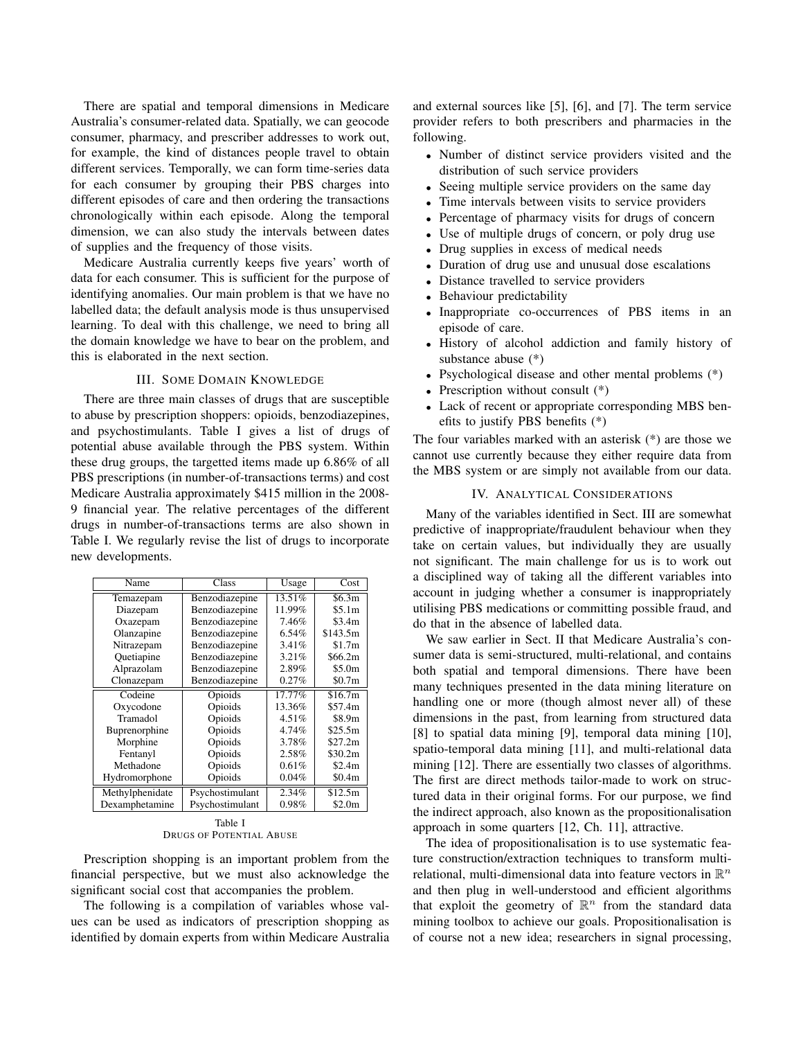There are spatial and temporal dimensions in Medicare Australia's consumer-related data. Spatially, we can geocode consumer, pharmacy, and prescriber addresses to work out, for example, the kind of distances people travel to obtain different services. Temporally, we can form time-series data for each consumer by grouping their PBS charges into different episodes of care and then ordering the transactions chronologically within each episode. Along the temporal dimension, we can also study the intervals between dates of supplies and the frequency of those visits.

Medicare Australia currently keeps five years' worth of data for each consumer. This is sufficient for the purpose of identifying anomalies. Our main problem is that we have no labelled data; the default analysis mode is thus unsupervised learning. To deal with this challenge, we need to bring all the domain knowledge we have to bear on the problem, and this is elaborated in the next section.

## III. SOME DOMAIN KNOWLEDGE

There are three main classes of drugs that are susceptible to abuse by prescription shoppers: opioids, benzodiazepines, and psychostimulants. Table I gives a list of drugs of potential abuse available through the PBS system. Within these drug groups, the targetted items made up 6.86% of all PBS prescriptions (in number-of-transactions terms) and cost Medicare Australia approximately \$415 million in the 2008- 9 financial year. The relative percentages of the different drugs in number-of-transactions terms are also shown in Table I. We regularly revise the list of drugs to incorporate new developments.

| Name            | Class           | Usage     | Cost      |
|-----------------|-----------------|-----------|-----------|
| Temazepam       | Benzodiazepine  | 13.51%    | \$6.3m    |
| Diazepam        | Benzodiazepine  | 11.99%    | \$5.1m    |
| Oxazepam        | Benzodiazepine  | 7.46%     | \$3.4m    |
| Olanzapine      | Benzodiazepine  | 6.54%     | \$143.5m  |
| Nitrazepam      | Benzodiazepine  | 3.41%     | \$1.7m    |
| Quetiapine      | Benzodiazepine  | 3.21%     | \$66.2m\$ |
| Alprazolam      | Benzodiazepine  | 2.89%     | \$5.0m    |
| Clonazepam      | Benzodiazepine  | 0.27%     | \$0.7m    |
| Codeine         | Opioids         | $17.77\%$ | \$16.7m   |
| Oxycodone       | Opioids         | 13.36%    | \$57.4m   |
| Tramadol        | Opioids         | 4.51%     | \$8.9m    |
| Buprenorphine   | Opioids         | 4.74%     | \$25.5m   |
| Morphine        | Opioids         | 3.78%     | \$27.2m   |
| Fentanyl        | Opioids         | 2.58%     | \$30.2m   |
| Methadone       | Opioids         | 0.61%     | \$2.4m    |
| Hydromorphone   | Opioids         | 0.04%     | \$0.4m    |
| Methylphenidate | Psychostimulant | 2.34%     | \$12.5m   |
| Dexamphetamine  | Psychostimulant | 0.98%     | \$2.0m    |

Table I DRUGS OF POTENTIAL ABUSE

Prescription shopping is an important problem from the financial perspective, but we must also acknowledge the significant social cost that accompanies the problem.

The following is a compilation of variables whose values can be used as indicators of prescription shopping as identified by domain experts from within Medicare Australia and external sources like [5], [6], and [7]. The term service provider refers to both prescribers and pharmacies in the following.

- Number of distinct service providers visited and the distribution of such service providers
- Seeing multiple service providers on the same day
- Time intervals between visits to service providers
- Percentage of pharmacy visits for drugs of concern
- Use of multiple drugs of concern, or poly drug use
- Drug supplies in excess of medical needs
- Duration of drug use and unusual dose escalations
- Distance travelled to service providers
- Behaviour predictability
- Inappropriate co-occurrences of PBS items in an episode of care.
- History of alcohol addiction and family history of substance abuse (\*)
- Psychological disease and other mental problems (\*)
- Prescription without consult  $(*)$
- Lack of recent or appropriate corresponding MBS benefits to justify PBS benefits (\*)

The four variables marked with an asterisk (\*) are those we cannot use currently because they either require data from the MBS system or are simply not available from our data.

# IV. ANALYTICAL CONSIDERATIONS

Many of the variables identified in Sect. III are somewhat predictive of inappropriate/fraudulent behaviour when they take on certain values, but individually they are usually not significant. The main challenge for us is to work out a disciplined way of taking all the different variables into account in judging whether a consumer is inappropriately utilising PBS medications or committing possible fraud, and do that in the absence of labelled data.

We saw earlier in Sect. II that Medicare Australia's consumer data is semi-structured, multi-relational, and contains both spatial and temporal dimensions. There have been many techniques presented in the data mining literature on handling one or more (though almost never all) of these dimensions in the past, from learning from structured data [8] to spatial data mining [9], temporal data mining [10], spatio-temporal data mining [11], and multi-relational data mining [12]. There are essentially two classes of algorithms. The first are direct methods tailor-made to work on structured data in their original forms. For our purpose, we find the indirect approach, also known as the propositionalisation approach in some quarters [12, Ch. 11], attractive.

The idea of propositionalisation is to use systematic feature construction/extraction techniques to transform multirelational, multi-dimensional data into feature vectors in  $\mathbb{R}^n$ and then plug in well-understood and efficient algorithms that exploit the geometry of  $\mathbb{R}^n$  from the standard data mining toolbox to achieve our goals. Propositionalisation is of course not a new idea; researchers in signal processing,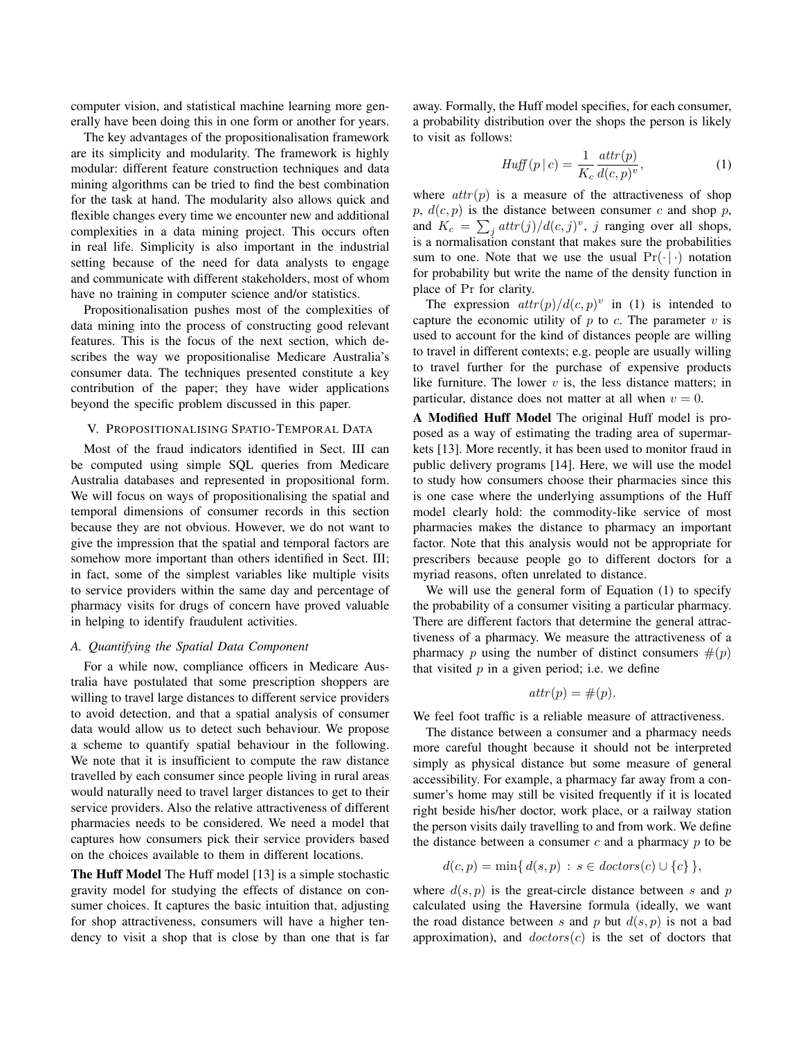computer vision, and statistical machine learning more generally have been doing this in one form or another for years.

The key advantages of the propositionalisation framework are its simplicity and modularity. The framework is highly modular: different feature construction techniques and data mining algorithms can be tried to find the best combination for the task at hand. The modularity also allows quick and flexible changes every time we encounter new and additional complexities in a data mining project. This occurs often in real life. Simplicity is also important in the industrial setting because of the need for data analysts to engage and communicate with different stakeholders, most of whom have no training in computer science and/or statistics.

Propositionalisation pushes most of the complexities of data mining into the process of constructing good relevant features. This is the focus of the next section, which describes the way we propositionalise Medicare Australia's consumer data. The techniques presented constitute a key contribution of the paper; they have wider applications beyond the specific problem discussed in this paper.

## V. PROPOSITIONALISING SPATIO-TEMPORAL DATA

Most of the fraud indicators identified in Sect. III can be computed using simple SQL queries from Medicare Australia databases and represented in propositional form. We will focus on ways of propositionalising the spatial and temporal dimensions of consumer records in this section because they are not obvious. However, we do not want to give the impression that the spatial and temporal factors are somehow more important than others identified in Sect. III; in fact, some of the simplest variables like multiple visits to service providers within the same day and percentage of pharmacy visits for drugs of concern have proved valuable in helping to identify fraudulent activities.

#### *A. Quantifying the Spatial Data Component*

For a while now, compliance officers in Medicare Australia have postulated that some prescription shoppers are willing to travel large distances to different service providers to avoid detection, and that a spatial analysis of consumer data would allow us to detect such behaviour. We propose a scheme to quantify spatial behaviour in the following. We note that it is insufficient to compute the raw distance travelled by each consumer since people living in rural areas would naturally need to travel larger distances to get to their service providers. Also the relative attractiveness of different pharmacies needs to be considered. We need a model that captures how consumers pick their service providers based on the choices available to them in different locations.

The Huff Model The Huff model [13] is a simple stochastic gravity model for studying the effects of distance on consumer choices. It captures the basic intuition that, adjusting for shop attractiveness, consumers will have a higher tendency to visit a shop that is close by than one that is far away. Formally, the Huff model specifies, for each consumer, a probability distribution over the shops the person is likely to visit as follows:

$$
Huff(p | c) = \frac{1}{K_c} \frac{attr(p)}{d(c, p)^v},
$$
\n(1)

where  $attr(p)$  is a measure of the attractiveness of shop  $p, d(c, p)$  is the distance between consumer c and shop p, and  $K_c = \sum_j \frac{attr(j)}{d(c, j)^v}$ , j ranging over all shops, is a normalisation constant that makes sure the probabilities sum to one. Note that we use the usual  $Pr(\cdot | \cdot)$  notation for probability but write the name of the density function in place of Pr for clarity.

The expression  $attr(p)/d(c, p)^v$  in (1) is intended to capture the economic utility of  $p$  to  $c$ . The parameter  $v$  is used to account for the kind of distances people are willing to travel in different contexts; e.g. people are usually willing to travel further for the purchase of expensive products like furniture. The lower  $v$  is, the less distance matters; in particular, distance does not matter at all when  $v = 0$ .

A Modified Huff Model The original Huff model is proposed as a way of estimating the trading area of supermarkets [13]. More recently, it has been used to monitor fraud in public delivery programs [14]. Here, we will use the model to study how consumers choose their pharmacies since this is one case where the underlying assumptions of the Huff model clearly hold: the commodity-like service of most pharmacies makes the distance to pharmacy an important factor. Note that this analysis would not be appropriate for prescribers because people go to different doctors for a myriad reasons, often unrelated to distance.

We will use the general form of Equation (1) to specify the probability of a consumer visiting a particular pharmacy. There are different factors that determine the general attractiveness of a pharmacy. We measure the attractiveness of a pharmacy p using the number of distinct consumers  $\#(p)$ that visited  $p$  in a given period; i.e. we define

$$
attr(p) = \#(p).
$$

We feel foot traffic is a reliable measure of attractiveness.

The distance between a consumer and a pharmacy needs more careful thought because it should not be interpreted simply as physical distance but some measure of general accessibility. For example, a pharmacy far away from a consumer's home may still be visited frequently if it is located right beside his/her doctor, work place, or a railway station the person visits daily travelling to and from work. We define the distance between a consumer  $c$  and a pharmacy  $p$  to be

$$
d(c, p) = \min\{d(s, p) : s \in doctors(c) \cup \{c\}\},\
$$

where  $d(s, p)$  is the great-circle distance between s and p calculated using the Haversine formula (ideally, we want the road distance between s and p but  $d(s, p)$  is not a bad approximation), and  $doctors(c)$  is the set of doctors that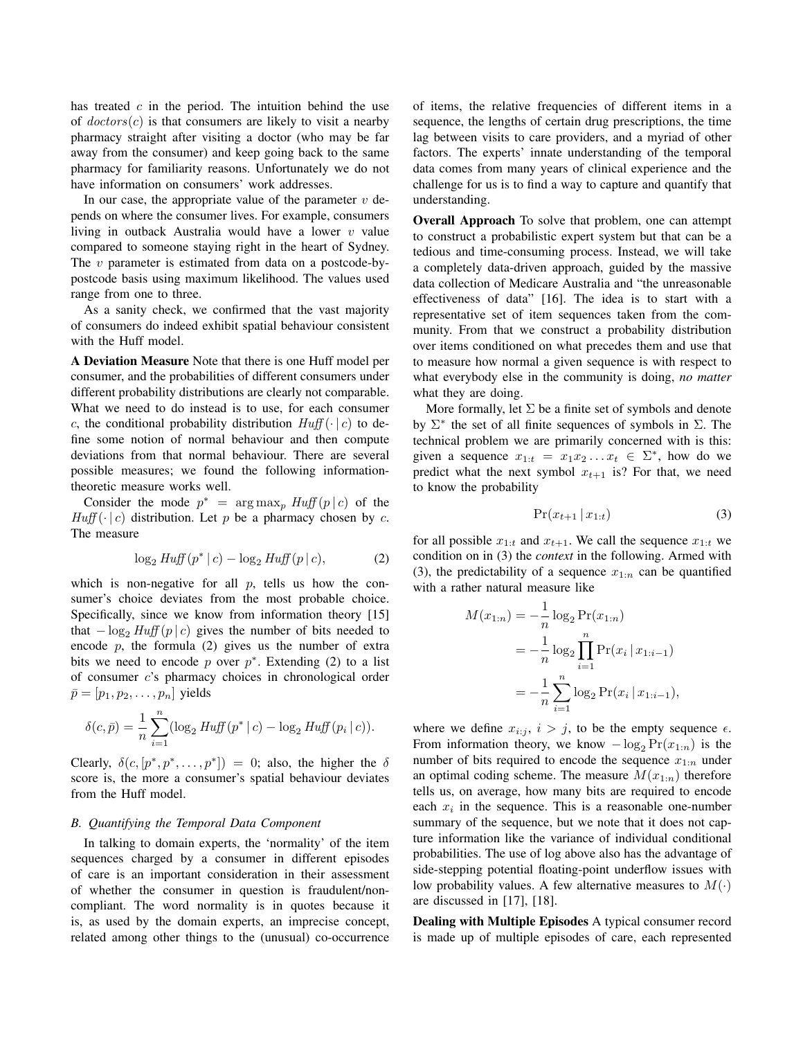has treated  $c$  in the period. The intuition behind the use of  $doctors(c)$  is that consumers are likely to visit a nearby pharmacy straight after visiting a doctor (who may be far away from the consumer) and keep going back to the same pharmacy for familiarity reasons. Unfortunately we do not have information on consumers' work addresses.

In our case, the appropriate value of the parameter  $v$  depends on where the consumer lives. For example, consumers living in outback Australia would have a lower  $v$  value compared to someone staying right in the heart of Sydney. The *v* parameter is estimated from data on a postcode-bypostcode basis using maximum likelihood. The values used range from one to three.

As a sanity check, we confirmed that the vast majority of consumers do indeed exhibit spatial behaviour consistent with the Huff model.

A Deviation Measure Note that there is one Huff model per consumer, and the probabilities of different consumers under different probability distributions are clearly not comparable. What we need to do instead is to use, for each consumer c, the conditional probability distribution  $Huff(\cdot | c)$  to define some notion of normal behaviour and then compute deviations from that normal behaviour. There are several possible measures; we found the following informationtheoretic measure works well.

Consider the mode  $p^* = \arg \max_p H \iint (p | c)$  of the  $Huff(\cdot | c)$  distribution. Let p be a pharmacy chosen by c. The measure

$$
\log_2 H u f f(p^* | c) - \log_2 H u f f(p | c), \tag{2}
$$

which is non-negative for all  $p$ , tells us how the consumer's choice deviates from the most probable choice. Specifically, since we know from information theory [15] that  $-\log_2 H u \cdot f(p \mid c)$  gives the number of bits needed to encode  $p$ , the formula (2) gives us the number of extra bits we need to encode  $p$  over  $p^*$ . Extending (2) to a list of consumer c's pharmacy choices in chronological order  $\bar{p} = [p_1, p_2, \dots, p_n]$  yields

$$
\delta(c, \bar{p}) = \frac{1}{n} \sum_{i=1}^{n} (\log_2 H u f f(p^* | c) - \log_2 H u f f (p_i | c)).
$$

Clearly,  $\delta(c, [p^*, p^*, \dots, p^*]) = 0$ ; also, the higher the  $\delta$ score is, the more a consumer's spatial behaviour deviates from the Huff model.

#### *B. Quantifying the Temporal Data Component*

In talking to domain experts, the 'normality' of the item sequences charged by a consumer in different episodes of care is an important consideration in their assessment of whether the consumer in question is fraudulent/noncompliant. The word normality is in quotes because it is, as used by the domain experts, an imprecise concept, related among other things to the (unusual) co-occurrence of items, the relative frequencies of different items in a sequence, the lengths of certain drug prescriptions, the time lag between visits to care providers, and a myriad of other factors. The experts' innate understanding of the temporal data comes from many years of clinical experience and the challenge for us is to find a way to capture and quantify that understanding.

Overall Approach To solve that problem, one can attempt to construct a probabilistic expert system but that can be a tedious and time-consuming process. Instead, we will take a completely data-driven approach, guided by the massive data collection of Medicare Australia and "the unreasonable effectiveness of data" [16]. The idea is to start with a representative set of item sequences taken from the community. From that we construct a probability distribution over items conditioned on what precedes them and use that to measure how normal a given sequence is with respect to what everybody else in the community is doing, *no matter* what they are doing.

More formally, let  $\Sigma$  be a finite set of symbols and denote by  $\Sigma^*$  the set of all finite sequences of symbols in  $\Sigma$ . The technical problem we are primarily concerned with is this: given a sequence  $x_{1:t} = x_1 x_2 ... x_t \in \Sigma^*$ , how do we predict what the next symbol  $x_{t+1}$  is? For that, we need to know the probability

$$
\Pr(x_{t+1} \mid x_{1:t}) \tag{3}
$$

for all possible  $x_{1:t}$  and  $x_{t+1}$ . We call the sequence  $x_{1:t}$  we condition on in (3) the *context* in the following. Armed with (3), the predictability of a sequence  $x_{1:n}$  can be quantified with a rather natural measure like

$$
M(x_{1:n}) = -\frac{1}{n} \log_2 \Pr(x_{1:n})
$$
  
=  $-\frac{1}{n} \log_2 \prod_{i=1}^n \Pr(x_i | x_{1:i-1})$   
=  $-\frac{1}{n} \sum_{i=1}^n \log_2 \Pr(x_i | x_{1:i-1}),$ 

where we define  $x_{i:j}$ ,  $i > j$ , to be the empty sequence  $\epsilon$ . From information theory, we know  $-\log_2 \Pr(x_{1:n})$  is the number of bits required to encode the sequence  $x_{1:n}$  under an optimal coding scheme. The measure  $M(x_{1:n})$  therefore tells us, on average, how many bits are required to encode each  $x_i$  in the sequence. This is a reasonable one-number summary of the sequence, but we note that it does not capture information like the variance of individual conditional probabilities. The use of log above also has the advantage of side-stepping potential floating-point underflow issues with low probability values. A few alternative measures to  $M(\cdot)$ are discussed in [17], [18].

Dealing with Multiple Episodes A typical consumer record is made up of multiple episodes of care, each represented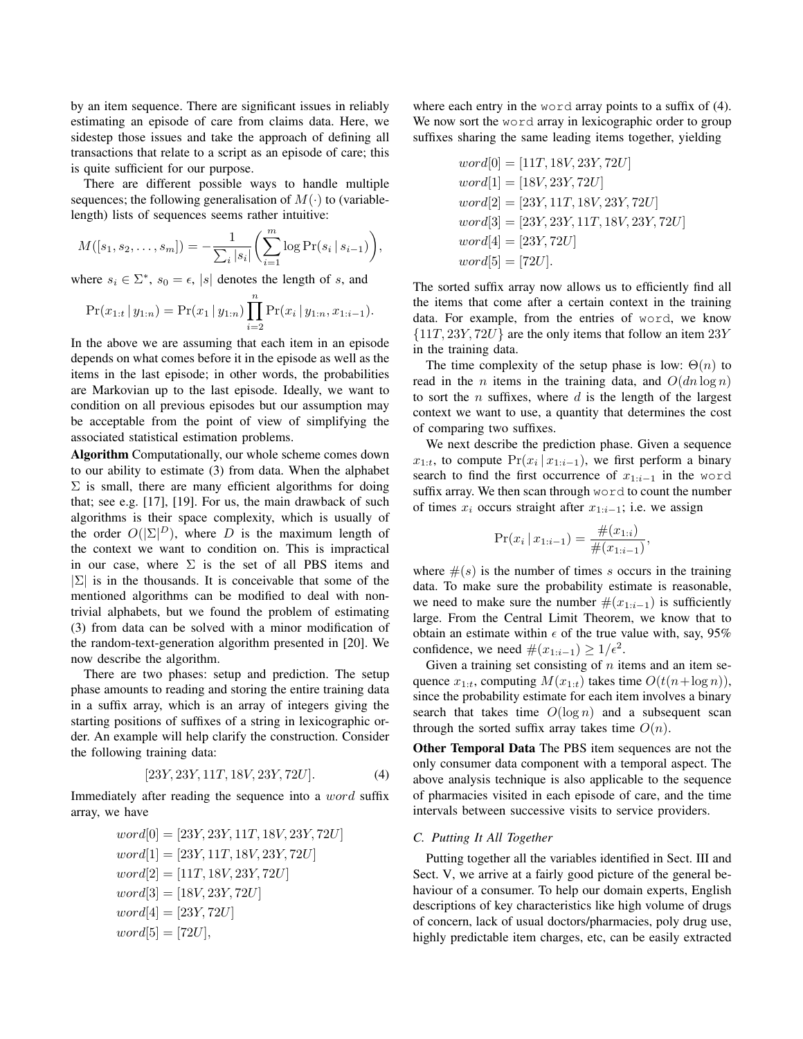by an item sequence. There are significant issues in reliably estimating an episode of care from claims data. Here, we sidestep those issues and take the approach of defining all transactions that relate to a script as an episode of care; this is quite sufficient for our purpose.

There are different possible ways to handle multiple sequences; the following generalisation of  $M(\cdot)$  to (variablelength) lists of sequences seems rather intuitive:

$$
M([s_1, s_2, \dots, s_m]) = -\frac{1}{\sum_i |s_i|} \left( \sum_{i=1}^m \log \Pr(s_i \, | \, s_{i-1}) \right),
$$

where  $s_i \in \Sigma^*$ ,  $s_0 = \epsilon$ , |s| denotes the length of s, and

$$
Pr(x_{1:t} | y_{1:n}) = Pr(x_1 | y_{1:n}) \prod_{i=2}^{n} Pr(x_i | y_{1:n}, x_{1:i-1}).
$$

In the above we are assuming that each item in an episode depends on what comes before it in the episode as well as the items in the last episode; in other words, the probabilities are Markovian up to the last episode. Ideally, we want to condition on all previous episodes but our assumption may be acceptable from the point of view of simplifying the associated statistical estimation problems.

Algorithm Computationally, our whole scheme comes down to our ability to estimate (3) from data. When the alphabet  $\Sigma$  is small, there are many efficient algorithms for doing that; see e.g. [17], [19]. For us, the main drawback of such algorithms is their space complexity, which is usually of the order  $O(|\Sigma|^D)$ , where D is the maximum length of the context we want to condition on. This is impractical in our case, where  $\Sigma$  is the set of all PBS items and  $|\Sigma|$  is in the thousands. It is conceivable that some of the mentioned algorithms can be modified to deal with nontrivial alphabets, but we found the problem of estimating (3) from data can be solved with a minor modification of the random-text-generation algorithm presented in [20]. We now describe the algorithm.

There are two phases: setup and prediction. The setup phase amounts to reading and storing the entire training data in a suffix array, which is an array of integers giving the starting positions of suffixes of a string in lexicographic order. An example will help clarify the construction. Consider the following training data:

$$
[23Y, 23Y, 11T, 18V, 23Y, 72U]. \t(4)
$$

Immediately after reading the sequence into a word suffix array, we have

$$
word[0] = [23Y, 23Y, 11T, 18V, 23Y, 72U]
$$
  
\n
$$
word[1] = [23Y, 11T, 18V, 23Y, 72U]
$$
  
\n
$$
word[2] = [11T, 18V, 23Y, 72U]
$$
  
\n
$$
word[3] = [18V, 23Y, 72U]
$$
  
\n
$$
word[4] = [23Y, 72U]
$$
  
\n
$$
word[5] = [72U],
$$

where each entry in the word array points to a suffix of  $(4)$ . We now sort the word array in lexicographic order to group suffixes sharing the same leading items together, yielding

$$
word[0] = [11T, 18V, 23Y, 72U]
$$
  
\n
$$
word[1] = [18V, 23Y, 72U]
$$
  
\n
$$
word[2] = [23Y, 11T, 18V, 23Y, 72U]
$$
  
\n
$$
word[3] = [23Y, 23Y, 11T, 18V, 23Y, 72U]
$$
  
\n
$$
word[4] = [23Y, 72U]
$$
  
\n
$$
word[5] = [72U].
$$

The sorted suffix array now allows us to efficiently find all the items that come after a certain context in the training data. For example, from the entries of word, we know  $\{11T, 23Y, 72U\}$  are the only items that follow an item  $23Y$ in the training data.

The time complexity of the setup phase is low:  $\Theta(n)$  to read in the *n* items in the training data, and  $O(dn \log n)$ to sort the  $n$  suffixes, where  $d$  is the length of the largest context we want to use, a quantity that determines the cost of comparing two suffixes.

We next describe the prediction phase. Given a sequence  $x_{1:t}$ , to compute  $Pr(x_i | x_{1:i-1})$ , we first perform a binary search to find the first occurrence of  $x_{1:i-1}$  in the word suffix array. We then scan through word to count the number of times  $x_i$  occurs straight after  $x_{1:i-1}$ ; i.e. we assign

$$
\Pr(x_i \,|\, x_{1:i-1}) = \frac{\#(x_{1:i})}{\#(x_{1:i-1})},
$$

where  $\#(s)$  is the number of times s occurs in the training data. To make sure the probability estimate is reasonable, we need to make sure the number  $\#(x_{1:i-1})$  is sufficiently large. From the Central Limit Theorem, we know that to obtain an estimate within  $\epsilon$  of the true value with, say, 95% confidence, we need  $\#(x_{1:i-1}) \geq 1/\epsilon^2$ .

Given a training set consisting of  $n$  items and an item sequence  $x_{1:t}$ , computing  $M(x_{1:t})$  takes time  $O(t(n+\log n))$ , since the probability estimate for each item involves a binary search that takes time  $O(\log n)$  and a subsequent scan through the sorted suffix array takes time  $O(n)$ .

Other Temporal Data The PBS item sequences are not the only consumer data component with a temporal aspect. The above analysis technique is also applicable to the sequence of pharmacies visited in each episode of care, and the time intervals between successive visits to service providers.

## *C. Putting It All Together*

Putting together all the variables identified in Sect. III and Sect. V, we arrive at a fairly good picture of the general behaviour of a consumer. To help our domain experts, English descriptions of key characteristics like high volume of drugs of concern, lack of usual doctors/pharmacies, poly drug use, highly predictable item charges, etc, can be easily extracted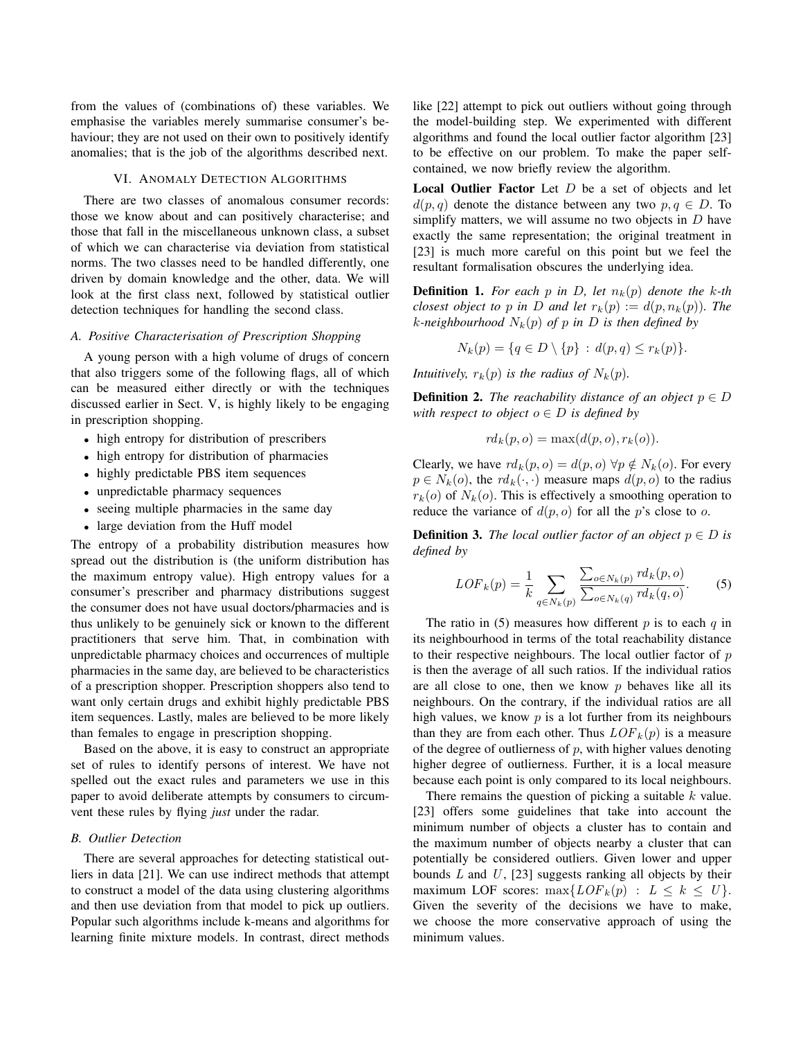from the values of (combinations of) these variables. We emphasise the variables merely summarise consumer's behaviour; they are not used on their own to positively identify anomalies; that is the job of the algorithms described next.

## VI. ANOMALY DETECTION ALGORITHMS

There are two classes of anomalous consumer records: those we know about and can positively characterise; and those that fall in the miscellaneous unknown class, a subset of which we can characterise via deviation from statistical norms. The two classes need to be handled differently, one driven by domain knowledge and the other, data. We will look at the first class next, followed by statistical outlier detection techniques for handling the second class.

#### *A. Positive Characterisation of Prescription Shopping*

A young person with a high volume of drugs of concern that also triggers some of the following flags, all of which can be measured either directly or with the techniques discussed earlier in Sect. V, is highly likely to be engaging in prescription shopping.

- high entropy for distribution of prescribers
- high entropy for distribution of pharmacies
- highly predictable PBS item sequences
- unpredictable pharmacy sequences
- seeing multiple pharmacies in the same day
- large deviation from the Huff model

The entropy of a probability distribution measures how spread out the distribution is (the uniform distribution has the maximum entropy value). High entropy values for a consumer's prescriber and pharmacy distributions suggest the consumer does not have usual doctors/pharmacies and is thus unlikely to be genuinely sick or known to the different practitioners that serve him. That, in combination with unpredictable pharmacy choices and occurrences of multiple pharmacies in the same day, are believed to be characteristics of a prescription shopper. Prescription shoppers also tend to want only certain drugs and exhibit highly predictable PBS item sequences. Lastly, males are believed to be more likely than females to engage in prescription shopping.

Based on the above, it is easy to construct an appropriate set of rules to identify persons of interest. We have not spelled out the exact rules and parameters we use in this paper to avoid deliberate attempts by consumers to circumvent these rules by flying *just* under the radar.

# *B. Outlier Detection*

There are several approaches for detecting statistical outliers in data [21]. We can use indirect methods that attempt to construct a model of the data using clustering algorithms and then use deviation from that model to pick up outliers. Popular such algorithms include k-means and algorithms for learning finite mixture models. In contrast, direct methods like [22] attempt to pick out outliers without going through the model-building step. We experimented with different algorithms and found the local outlier factor algorithm [23] to be effective on our problem. To make the paper selfcontained, we now briefly review the algorithm.

**Local Outlier Factor** Let  $D$  be a set of objects and let  $d(p,q)$  denote the distance between any two  $p,q \in D$ . To simplify matters, we will assume no two objects in  $D$  have exactly the same representation; the original treatment in [23] is much more careful on this point but we feel the resultant formalisation obscures the underlying idea.

**Definition 1.** For each p in D, let  $n_k(p)$  denote the k-th *closest object to* p in D and let  $r_k(p) := d(p, n_k(p))$ . The *k*-neighbourhood  $N_k(p)$  of p in D is then defined by

$$
N_k(p) = \{q \in D \setminus \{p\} : d(p,q) \le r_k(p)\}.
$$

*Intuitively,*  $r_k(p)$  *is the radius of*  $N_k(p)$ *.* 

**Definition 2.** *The reachability distance of an object*  $p \in D$ *with respect to object*  $o \in D$  *is defined by* 

$$
rd_k(p, o) = \max(d(p, o), r_k(o)).
$$

Clearly, we have  $rd_k(p, o) = d(p, o) \,\forall p \notin N_k(o)$ . For every  $p \in N_k(o)$ , the  $rd_k(\cdot, \cdot)$  measure maps  $d(p, o)$  to the radius  $r_k(o)$  of  $N_k(o)$ . This is effectively a smoothing operation to reduce the variance of  $d(p, o)$  for all the p's close to o.

**Definition 3.** *The local outlier factor of an object*  $p \in D$  *is defined by*

$$
LOF_k(p) = \frac{1}{k} \sum_{q \in N_k(p)} \frac{\sum_{o \in N_k(p)} r d_k(p, o)}{\sum_{o \in N_k(q)} r d_k(q, o)}.
$$
 (5)

The ratio in (5) measures how different  $p$  is to each  $q$  in its neighbourhood in terms of the total reachability distance to their respective neighbours. The local outlier factor of  $p$ is then the average of all such ratios. If the individual ratios are all close to one, then we know  $p$  behaves like all its neighbours. On the contrary, if the individual ratios are all high values, we know  $p$  is a lot further from its neighbours than they are from each other. Thus  $LOF_k(p)$  is a measure of the degree of outlierness of  $p$ , with higher values denoting higher degree of outlierness. Further, it is a local measure because each point is only compared to its local neighbours.

There remains the question of picking a suitable  $k$  value. [23] offers some guidelines that take into account the minimum number of objects a cluster has to contain and the maximum number of objects nearby a cluster that can potentially be considered outliers. Given lower and upper bounds  $L$  and  $U$ , [23] suggests ranking all objects by their maximum LOF scores:  $\max\{LOF_k(p) : L \leq k \leq U\}.$ Given the severity of the decisions we have to make, we choose the more conservative approach of using the minimum values.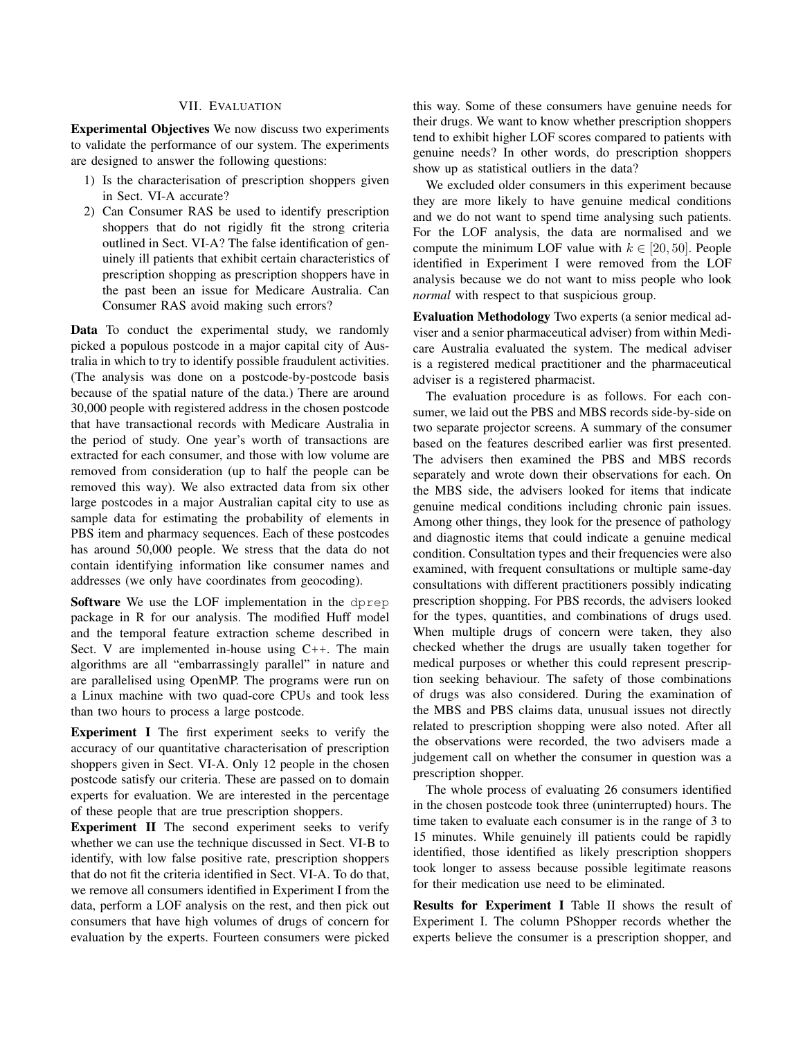# VII. EVALUATION

Experimental Objectives We now discuss two experiments to validate the performance of our system. The experiments are designed to answer the following questions:

- 1) Is the characterisation of prescription shoppers given in Sect. VI-A accurate?
- 2) Can Consumer RAS be used to identify prescription shoppers that do not rigidly fit the strong criteria outlined in Sect. VI-A? The false identification of genuinely ill patients that exhibit certain characteristics of prescription shopping as prescription shoppers have in the past been an issue for Medicare Australia. Can Consumer RAS avoid making such errors?

Data To conduct the experimental study, we randomly picked a populous postcode in a major capital city of Australia in which to try to identify possible fraudulent activities. (The analysis was done on a postcode-by-postcode basis because of the spatial nature of the data.) There are around 30,000 people with registered address in the chosen postcode that have transactional records with Medicare Australia in the period of study. One year's worth of transactions are extracted for each consumer, and those with low volume are removed from consideration (up to half the people can be removed this way). We also extracted data from six other large postcodes in a major Australian capital city to use as sample data for estimating the probability of elements in PBS item and pharmacy sequences. Each of these postcodes has around 50,000 people. We stress that the data do not contain identifying information like consumer names and addresses (we only have coordinates from geocoding).

Software We use the LOF implementation in the dprep package in R for our analysis. The modified Huff model and the temporal feature extraction scheme described in Sect. V are implemented in-house using C++. The main algorithms are all "embarrassingly parallel" in nature and are parallelised using OpenMP. The programs were run on a Linux machine with two quad-core CPUs and took less than two hours to process a large postcode.

Experiment I The first experiment seeks to verify the accuracy of our quantitative characterisation of prescription shoppers given in Sect. VI-A. Only 12 people in the chosen postcode satisfy our criteria. These are passed on to domain experts for evaluation. We are interested in the percentage of these people that are true prescription shoppers.

Experiment II The second experiment seeks to verify whether we can use the technique discussed in Sect. VI-B to identify, with low false positive rate, prescription shoppers that do not fit the criteria identified in Sect. VI-A. To do that, we remove all consumers identified in Experiment I from the data, perform a LOF analysis on the rest, and then pick out consumers that have high volumes of drugs of concern for evaluation by the experts. Fourteen consumers were picked this way. Some of these consumers have genuine needs for their drugs. We want to know whether prescription shoppers tend to exhibit higher LOF scores compared to patients with genuine needs? In other words, do prescription shoppers show up as statistical outliers in the data?

We excluded older consumers in this experiment because they are more likely to have genuine medical conditions and we do not want to spend time analysing such patients. For the LOF analysis, the data are normalised and we compute the minimum LOF value with  $k \in [20, 50]$ . People identified in Experiment I were removed from the LOF analysis because we do not want to miss people who look *normal* with respect to that suspicious group.

Evaluation Methodology Two experts (a senior medical adviser and a senior pharmaceutical adviser) from within Medicare Australia evaluated the system. The medical adviser is a registered medical practitioner and the pharmaceutical adviser is a registered pharmacist.

The evaluation procedure is as follows. For each consumer, we laid out the PBS and MBS records side-by-side on two separate projector screens. A summary of the consumer based on the features described earlier was first presented. The advisers then examined the PBS and MBS records separately and wrote down their observations for each. On the MBS side, the advisers looked for items that indicate genuine medical conditions including chronic pain issues. Among other things, they look for the presence of pathology and diagnostic items that could indicate a genuine medical condition. Consultation types and their frequencies were also examined, with frequent consultations or multiple same-day consultations with different practitioners possibly indicating prescription shopping. For PBS records, the advisers looked for the types, quantities, and combinations of drugs used. When multiple drugs of concern were taken, they also checked whether the drugs are usually taken together for medical purposes or whether this could represent prescription seeking behaviour. The safety of those combinations of drugs was also considered. During the examination of the MBS and PBS claims data, unusual issues not directly related to prescription shopping were also noted. After all the observations were recorded, the two advisers made a judgement call on whether the consumer in question was a prescription shopper.

The whole process of evaluating 26 consumers identified in the chosen postcode took three (uninterrupted) hours. The time taken to evaluate each consumer is in the range of 3 to 15 minutes. While genuinely ill patients could be rapidly identified, those identified as likely prescription shoppers took longer to assess because possible legitimate reasons for their medication use need to be eliminated.

Results for Experiment I Table II shows the result of Experiment I. The column PShopper records whether the experts believe the consumer is a prescription shopper, and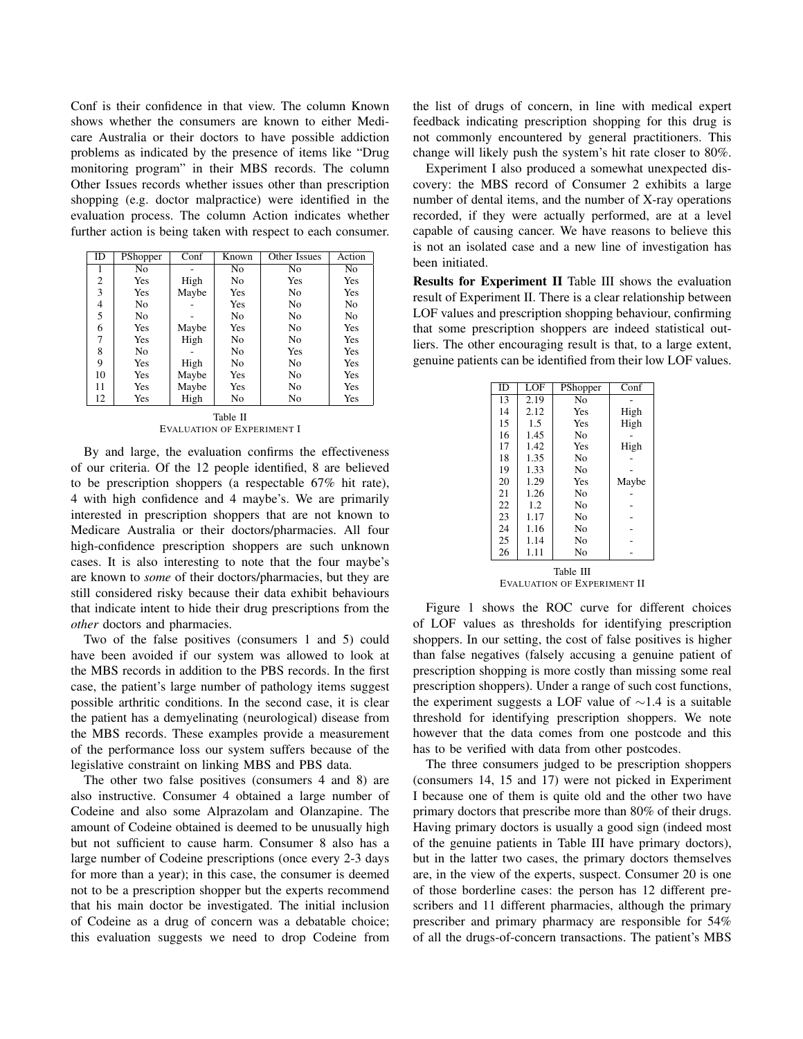Conf is their confidence in that view. The column Known shows whether the consumers are known to either Medicare Australia or their doctors to have possible addiction problems as indicated by the presence of items like "Drug monitoring program" in their MBS records. The column Other Issues records whether issues other than prescription shopping (e.g. doctor malpractice) were identified in the evaluation process. The column Action indicates whether further action is being taken with respect to each consumer.

| ID | PShopper       | Conf  | Known | Other Issues | Action         |
|----|----------------|-------|-------|--------------|----------------|
| 1  | No             |       | No    | No           | No             |
| 2  | Yes            | High  | No    | Yes          | Yes            |
| 3  | Yes            | Maybe | Yes   | No           | Yes            |
| 4  | N <sub>0</sub> |       | Yes   | No           | N <sub>0</sub> |
| 5  | No             |       | No    | No           | No             |
| 6  | Yes            | Maybe | Yes   | No           | Yes            |
| 7  | Yes            | High  | No    | No           | Yes            |
| 8  | No             |       | No    | Yes          | Yes            |
| 9  | Yes            | High  | No    | No           | Yes            |
| 10 | Yes            | Maybe | Yes   | No           | Yes            |
| 11 | Yes            | Maybe | Yes   | No           | Yes            |
| 12 | Yes            | High  | No    | No           | Yes            |

Table II EVALUATION OF EXPERIMENT I

By and large, the evaluation confirms the effectiveness of our criteria. Of the 12 people identified, 8 are believed to be prescription shoppers (a respectable 67% hit rate), 4 with high confidence and 4 maybe's. We are primarily interested in prescription shoppers that are not known to Medicare Australia or their doctors/pharmacies. All four high-confidence prescription shoppers are such unknown cases. It is also interesting to note that the four maybe's are known to *some* of their doctors/pharmacies, but they are still considered risky because their data exhibit behaviours that indicate intent to hide their drug prescriptions from the *other* doctors and pharmacies.

Two of the false positives (consumers 1 and 5) could have been avoided if our system was allowed to look at the MBS records in addition to the PBS records. In the first case, the patient's large number of pathology items suggest possible arthritic conditions. In the second case, it is clear the patient has a demyelinating (neurological) disease from the MBS records. These examples provide a measurement of the performance loss our system suffers because of the legislative constraint on linking MBS and PBS data.

The other two false positives (consumers 4 and 8) are also instructive. Consumer 4 obtained a large number of Codeine and also some Alprazolam and Olanzapine. The amount of Codeine obtained is deemed to be unusually high but not sufficient to cause harm. Consumer 8 also has a large number of Codeine prescriptions (once every 2-3 days for more than a year); in this case, the consumer is deemed not to be a prescription shopper but the experts recommend that his main doctor be investigated. The initial inclusion of Codeine as a drug of concern was a debatable choice; this evaluation suggests we need to drop Codeine from the list of drugs of concern, in line with medical expert feedback indicating prescription shopping for this drug is not commonly encountered by general practitioners. This change will likely push the system's hit rate closer to 80%.

Experiment I also produced a somewhat unexpected discovery: the MBS record of Consumer 2 exhibits a large number of dental items, and the number of X-ray operations recorded, if they were actually performed, are at a level capable of causing cancer. We have reasons to believe this is not an isolated case and a new line of investigation has been initiated.

Results for Experiment II Table III shows the evaluation result of Experiment II. There is a clear relationship between LOF values and prescription shopping behaviour, confirming that some prescription shoppers are indeed statistical outliers. The other encouraging result is that, to a large extent, genuine patients can be identified from their low LOF values.

| ID                          | LOF  | PShopper       | Conf  |  |  |  |
|-----------------------------|------|----------------|-------|--|--|--|
|                             |      |                |       |  |  |  |
| $1\overline{3}$             | 2.19 | N <sub>0</sub> |       |  |  |  |
| 14                          | 2.12 | Yes            | High  |  |  |  |
| 15                          | 1.5  | Yes            | High  |  |  |  |
| 16                          | 1.45 | No             |       |  |  |  |
| 17                          | 1.42 | Yes            | High  |  |  |  |
| 18                          | 1.35 | N <sub>0</sub> |       |  |  |  |
| 19                          | 1.33 | N <sub>0</sub> |       |  |  |  |
| 20                          | 1.29 | Yes            | Maybe |  |  |  |
| 21                          | 1.26 | No             |       |  |  |  |
| 22                          | 1.2  | No             |       |  |  |  |
| 23                          | 1.17 | N <sub>0</sub> |       |  |  |  |
| 24                          | 1.16 | N <sub>0</sub> |       |  |  |  |
| 25                          | 1.14 | No             |       |  |  |  |
| 26                          | 1.11 | No             |       |  |  |  |
| Table III                   |      |                |       |  |  |  |
| EVALUATION OF EXPERIMENT II |      |                |       |  |  |  |

Figure 1 shows the ROC curve for different choices of LOF values as thresholds for identifying prescription shoppers. In our setting, the cost of false positives is higher than false negatives (falsely accusing a genuine patient of prescription shopping is more costly than missing some real prescription shoppers). Under a range of such cost functions, the experiment suggests a LOF value of ∼1.4 is a suitable threshold for identifying prescription shoppers. We note however that the data comes from one postcode and this has to be verified with data from other postcodes.

The three consumers judged to be prescription shoppers (consumers 14, 15 and 17) were not picked in Experiment I because one of them is quite old and the other two have primary doctors that prescribe more than 80% of their drugs. Having primary doctors is usually a good sign (indeed most of the genuine patients in Table III have primary doctors), but in the latter two cases, the primary doctors themselves are, in the view of the experts, suspect. Consumer 20 is one of those borderline cases: the person has 12 different prescribers and 11 different pharmacies, although the primary prescriber and primary pharmacy are responsible for 54% of all the drugs-of-concern transactions. The patient's MBS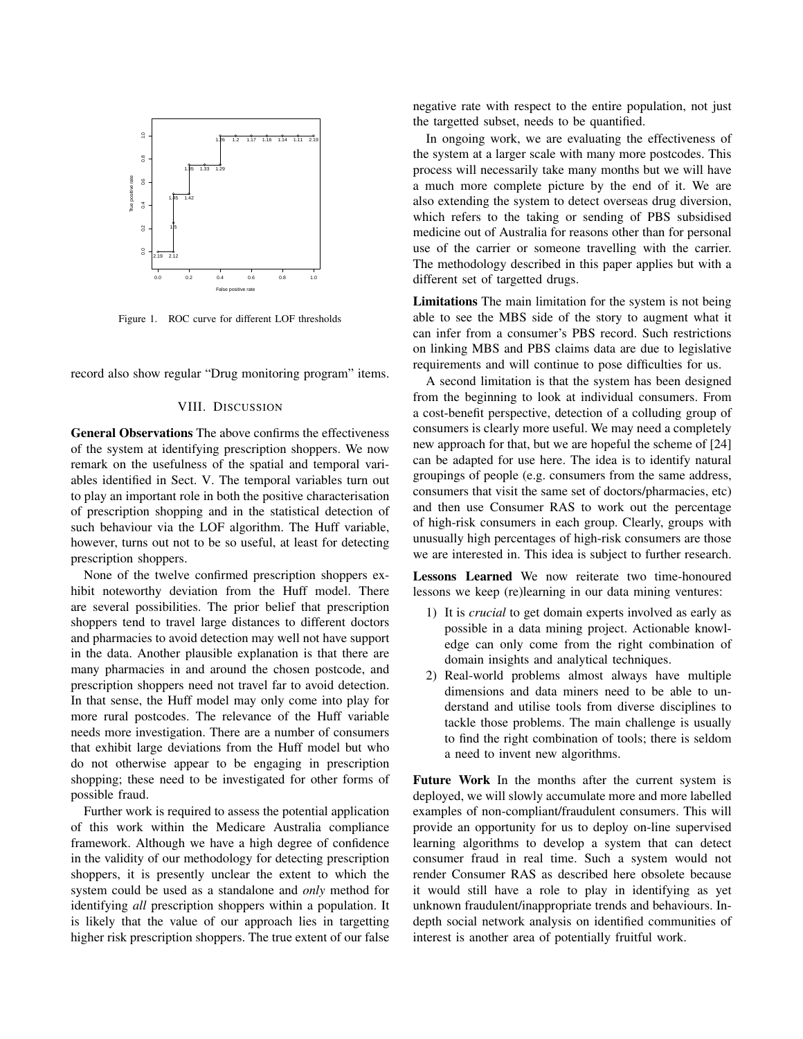

Figure 1. ROC curve for different LOF thresholds

record also show regular "Drug monitoring program" items.

# VIII. DISCUSSION

General Observations The above confirms the effectiveness of the system at identifying prescription shoppers. We now remark on the usefulness of the spatial and temporal variables identified in Sect. V. The temporal variables turn out to play an important role in both the positive characterisation of prescription shopping and in the statistical detection of such behaviour via the LOF algorithm. The Huff variable, however, turns out not to be so useful, at least for detecting prescription shoppers.

None of the twelve confirmed prescription shoppers exhibit noteworthy deviation from the Huff model. There are several possibilities. The prior belief that prescription shoppers tend to travel large distances to different doctors and pharmacies to avoid detection may well not have support in the data. Another plausible explanation is that there are many pharmacies in and around the chosen postcode, and prescription shoppers need not travel far to avoid detection. In that sense, the Huff model may only come into play for more rural postcodes. The relevance of the Huff variable needs more investigation. There are a number of consumers that exhibit large deviations from the Huff model but who do not otherwise appear to be engaging in prescription shopping; these need to be investigated for other forms of possible fraud.

Further work is required to assess the potential application of this work within the Medicare Australia compliance framework. Although we have a high degree of confidence in the validity of our methodology for detecting prescription shoppers, it is presently unclear the extent to which the system could be used as a standalone and *only* method for identifying *all* prescription shoppers within a population. It is likely that the value of our approach lies in targetting higher risk prescription shoppers. The true extent of our false negative rate with respect to the entire population, not just the targetted subset, needs to be quantified.

In ongoing work, we are evaluating the effectiveness of the system at a larger scale with many more postcodes. This process will necessarily take many months but we will have a much more complete picture by the end of it. We are also extending the system to detect overseas drug diversion, which refers to the taking or sending of PBS subsidised medicine out of Australia for reasons other than for personal use of the carrier or someone travelling with the carrier. The methodology described in this paper applies but with a different set of targetted drugs.

Limitations The main limitation for the system is not being able to see the MBS side of the story to augment what it can infer from a consumer's PBS record. Such restrictions on linking MBS and PBS claims data are due to legislative requirements and will continue to pose difficulties for us.

A second limitation is that the system has been designed from the beginning to look at individual consumers. From a cost-benefit perspective, detection of a colluding group of consumers is clearly more useful. We may need a completely new approach for that, but we are hopeful the scheme of [24] can be adapted for use here. The idea is to identify natural groupings of people (e.g. consumers from the same address, consumers that visit the same set of doctors/pharmacies, etc) and then use Consumer RAS to work out the percentage of high-risk consumers in each group. Clearly, groups with unusually high percentages of high-risk consumers are those we are interested in. This idea is subject to further research.

Lessons Learned We now reiterate two time-honoured lessons we keep (re)learning in our data mining ventures:

- 1) It is *crucial* to get domain experts involved as early as possible in a data mining project. Actionable knowledge can only come from the right combination of domain insights and analytical techniques.
- 2) Real-world problems almost always have multiple dimensions and data miners need to be able to understand and utilise tools from diverse disciplines to tackle those problems. The main challenge is usually to find the right combination of tools; there is seldom a need to invent new algorithms.

Future Work In the months after the current system is deployed, we will slowly accumulate more and more labelled examples of non-compliant/fraudulent consumers. This will provide an opportunity for us to deploy on-line supervised learning algorithms to develop a system that can detect consumer fraud in real time. Such a system would not render Consumer RAS as described here obsolete because it would still have a role to play in identifying as yet unknown fraudulent/inappropriate trends and behaviours. Indepth social network analysis on identified communities of interest is another area of potentially fruitful work.